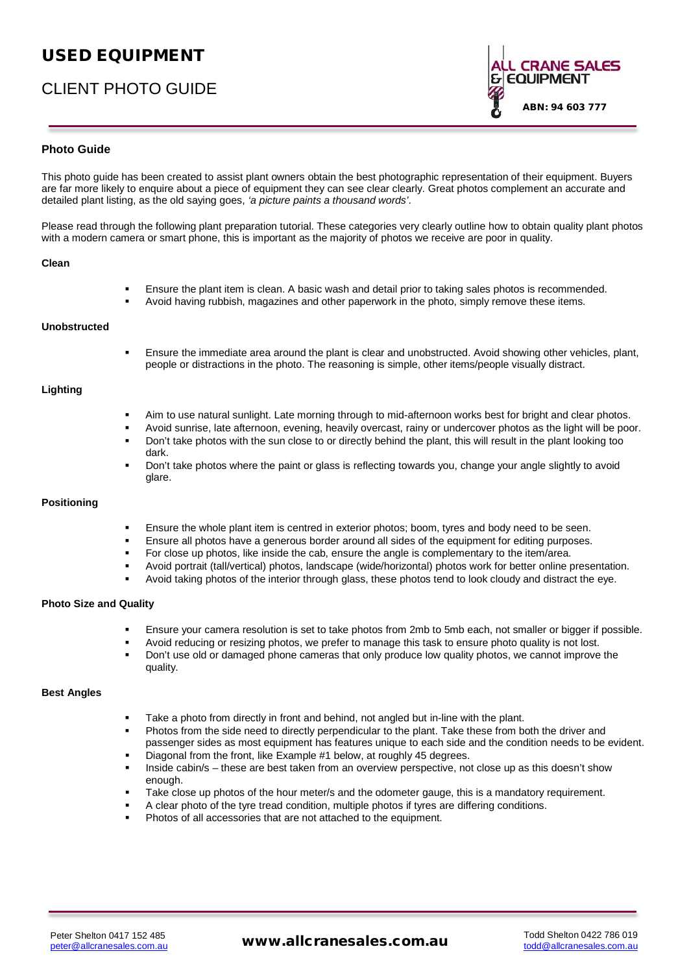# USED EQUIPMENT

# CLIENT PHOTO GUIDE

ABN: 94 603 777

## **Photo Guide**

This photo guide has been created to assist plant owners obtain the best photographic representation of their equipment. Buyers are far more likely to enquire about a piece of equipment they can see clear clearly. Great photos complement an accurate and detailed plant listing, as the old saying goes, <code>µD SLFWXUH SDLQWV</code>  $\parallel$  <code>D WKRXVDQG ZRUGV</code>

Please read through the following plant preparation tutorial. These categories very clearly outline how to obtain quality plant photos with a modern camera or smart phone, this is important as the majority of photos we receive are poor in quality.

| Clean                         |                                                                                                                                                                                                                                                                                                                                                                                                                                                                                                                                                                                                                                                                                                                                                                                       |
|-------------------------------|---------------------------------------------------------------------------------------------------------------------------------------------------------------------------------------------------------------------------------------------------------------------------------------------------------------------------------------------------------------------------------------------------------------------------------------------------------------------------------------------------------------------------------------------------------------------------------------------------------------------------------------------------------------------------------------------------------------------------------------------------------------------------------------|
|                               | Ensure the plant item is clean. A basic wash and detail prior to taking sales photos is recommended.<br>Avoid having rubbish, magazines and other paperwork in the photo, simply remove these items.                                                                                                                                                                                                                                                                                                                                                                                                                                                                                                                                                                                  |
| Unobstructed                  |                                                                                                                                                                                                                                                                                                                                                                                                                                                                                                                                                                                                                                                                                                                                                                                       |
|                               | Ensure the immediate area around the plant is clear and unobstructed. Avoid showing other vehicles, plant,<br>people or distractions in the photo. The reasoning is simple, other items/people visually distract.                                                                                                                                                                                                                                                                                                                                                                                                                                                                                                                                                                     |
| Lighting                      |                                                                                                                                                                                                                                                                                                                                                                                                                                                                                                                                                                                                                                                                                                                                                                                       |
|                               | Aim to use natural sunlight. Late morning through to mid-afternoon works best for bright and clear photos.<br>Avoid sunrise, late afternoon, evening, heavily overcast, rainy or undercover photos as the light will be poor.<br>Don't take photos with the sun close to or directly behind the plant, this will result in the plant looking too<br>dark.<br>Don't take photos where the paint or glass is reflecting towards you, change your angle slightly to avoid<br>glare.                                                                                                                                                                                                                                                                                                      |
| <b>Positioning</b>            |                                                                                                                                                                                                                                                                                                                                                                                                                                                                                                                                                                                                                                                                                                                                                                                       |
|                               | Ensure the whole plant item is centred in exterior photos; boom, tyres and body need to be seen.<br>Ensure all photos have a generous border around all sides of the equipment for editing purposes.<br>For close up photos, like inside the cab, ensure the angle is complementary to the item/area.<br>Avoid portrait (tall/vertical) photos, landscape (wide/horizontal) photos work for better online presentation.<br>Avoid taking photos of the interior through glass, these photos tend to look cloudy and distract the eye.                                                                                                                                                                                                                                                  |
| <b>Photo Size and Quality</b> |                                                                                                                                                                                                                                                                                                                                                                                                                                                                                                                                                                                                                                                                                                                                                                                       |
|                               | Ensure your camera resolution is set to take photos from 2mb to 5mb each, not smaller or bigger if possible.<br>Avoid reducing or resizing photos, we prefer to manage this task to ensure photo quality is not lost.<br>Don't use old or damaged phone cameras that only produce low quality photos, we cannot improve the<br>quality.                                                                                                                                                                                                                                                                                                                                                                                                                                               |
| <b>Best Angles</b>            |                                                                                                                                                                                                                                                                                                                                                                                                                                                                                                                                                                                                                                                                                                                                                                                       |
|                               | Take a photo from directly in front and behind, not angled but in-line with the plant.<br>Photos from the side need to directly perpendicular to the plant. Take these from both the driver and<br>passenger sides as most equipment has features unique to each side and the condition needs to be evident.<br>Diagonal from the front, like Example #1 below, at roughly 45 degrees.<br>Inside cabin/s – these are best taken from an overview perspective, not close up as this doesn't show<br>enough.<br>Take close up photos of the hour meter/s and the odometer gauge, this is a mandatory requirement.<br>A clear photo of the tyre tread condition, multiple photos if tyres are differing conditions.<br>Photos of all accessories that are not attached to the equipment. |